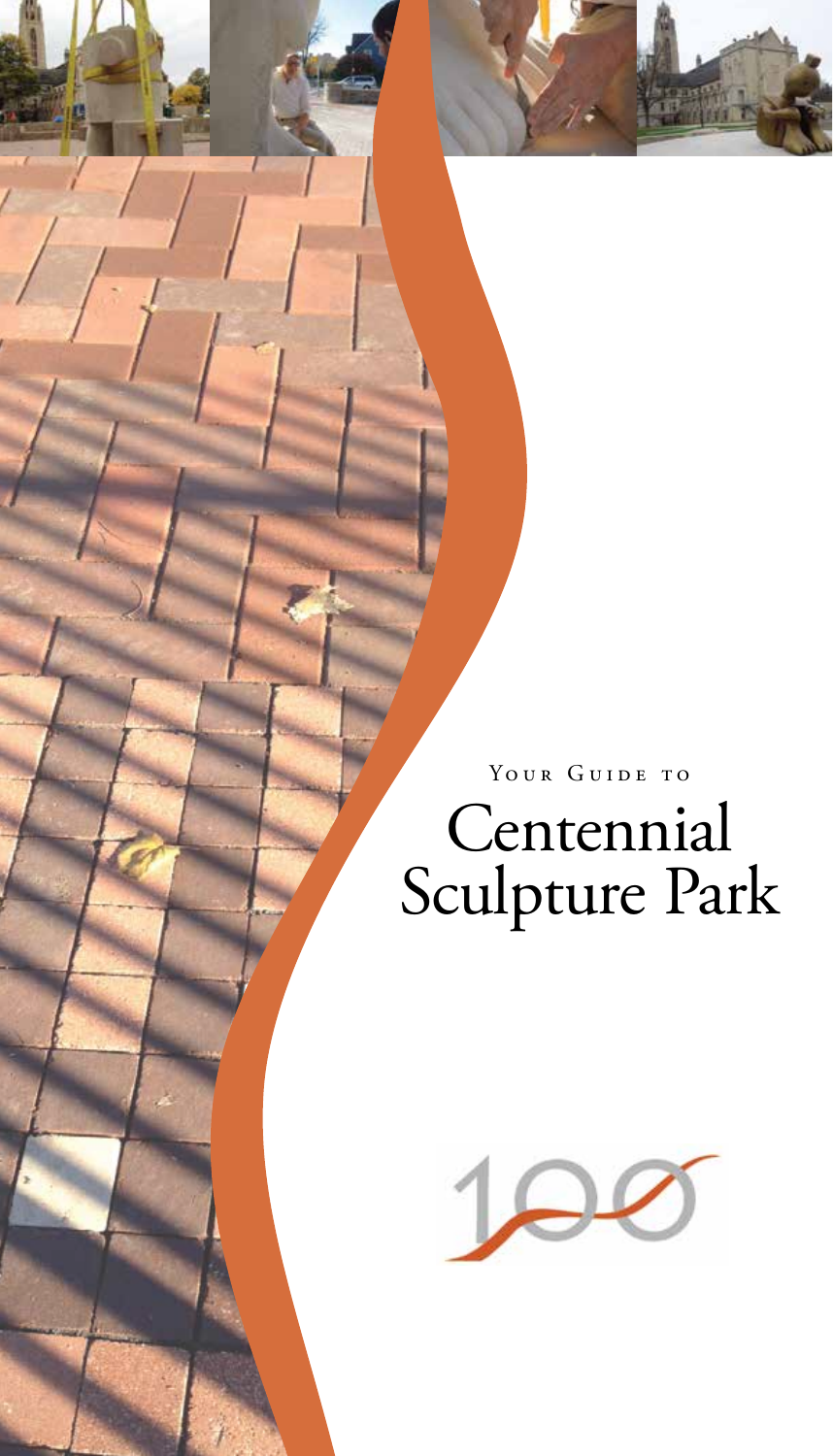

## YOUR GUIDE TO Centennial Sculpture Park

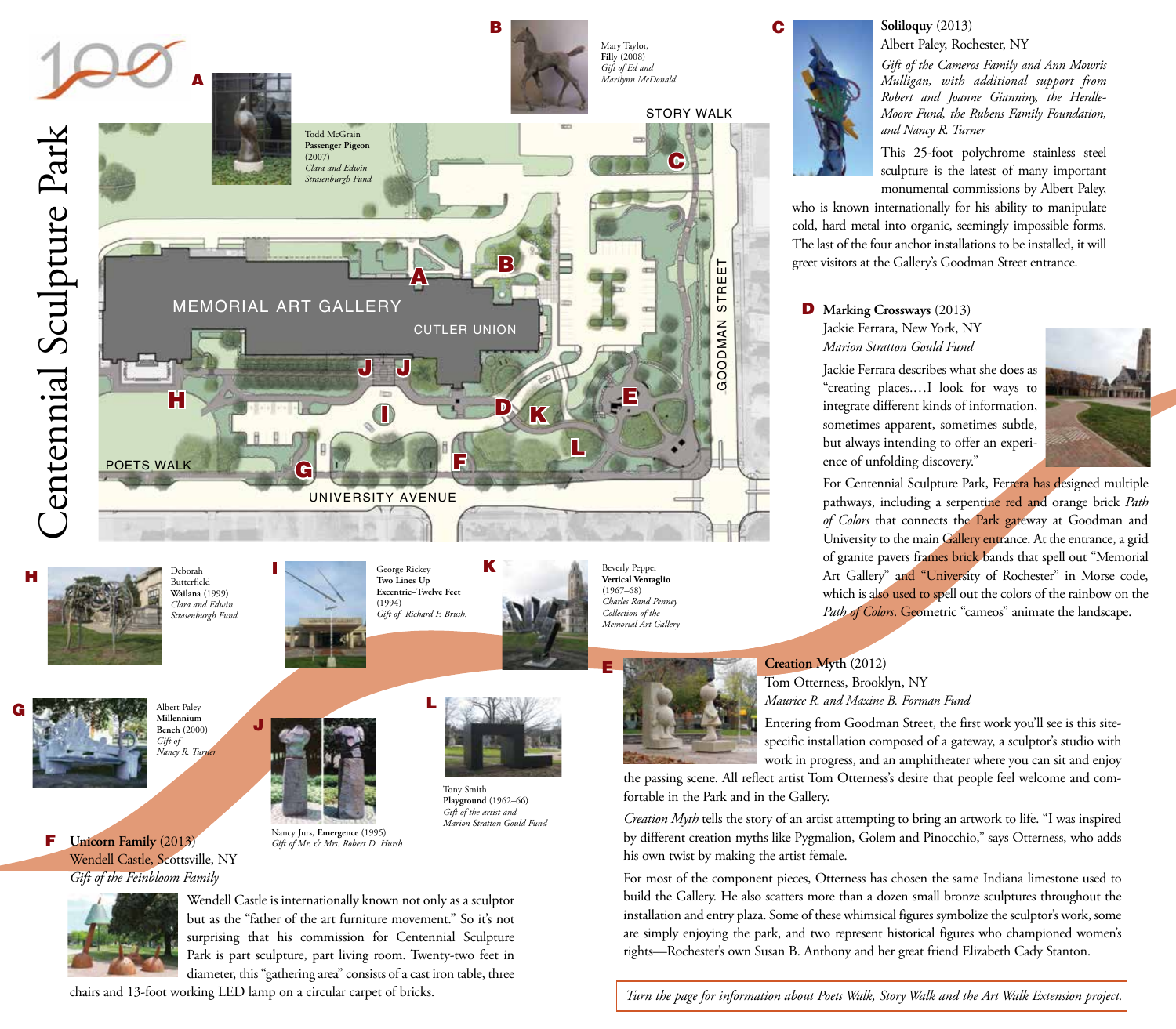

**Soliloquy** (2013) Albert Paley, Rochester, NY

*Gift of the Cameros Family and Ann Mowris Mulligan, with additional support from Robert and Joanne Gianniny, the Herdle-Moore Fund, the Rubens Family Foundation, and Nancy R. Turner*

This 25-foot polychrome stainless steel sculpture is the latest of many important monumental commissions by Albert Paley,

who is known internationally for his ability to manipulate cold, hard metal into organic, seemingly impossible forms. The last of the four anchor installations to be installed, it will greet visitors at the Gallery's Goodman Street entrance.

D **Marking Crossways** (2013) Jackie Ferrara, New York, NY *Marion Stratton Gould Fund*

Jackie Ferrara describes what she does as "creating places.…I look for ways to integrate different kinds of information, sometimes apparent, sometimes subtle, but always intending to offer an experience of unfolding discovery."



For Centennial Sculpture Park, Ferrera has designed multiple pathways, including a serpentine red and orange brick *Path of Colors* that connects the Park gateway at Goodman and University to the main Gallery entrance. At the entrance, a grid of granite pavers frames brick bands that spell out "Memorial Art Gallery" and "University of Rochester" in Morse code, which is also used to spell out the colors of the rainbow on the Path of Colors. Geometric "cameos" animate the landscape.



Entering from Goodman Street, the first work you'll see is this sitespecific installation composed of a gateway, a sculptor's studio with work in progress, and an amphitheater where you can sit and enjoy

the passing scene. All reflect artist Tom Otterness's desire that people feel welcome and comfortable in the Park and in the Gallery.

*Creation Myth* tells the story of an artist attempting to bring an artwork to life. "I was inspired by different creation myths like Pygmalion, Golem and Pinocchio," says Otterness, who adds his own twist by making the artist female.

For most of the component pieces, Otterness has chosen the same Indiana limestone used to build the Gallery. He also scatters more than a dozen small bronze sculptures throughout the installation and entry plaza. Some of these whimsical figures symbolize the sculptor's work, some are simply enjoying the park, and two represent historical figures who championed women's rights—Rochester's own Susan B. Anthony and her great friend Elizabeth Cady Stanton.



G

but as the "father of the art furniture movement." So it's not surprising that his commission for Centennial Sculpture Park is part sculpture, part living room. Twenty-two feet in

diameter, this "gathering area" consists of a cast iron table, three chairs and 13-foot working LED lamp on a circular carpet of bricks.